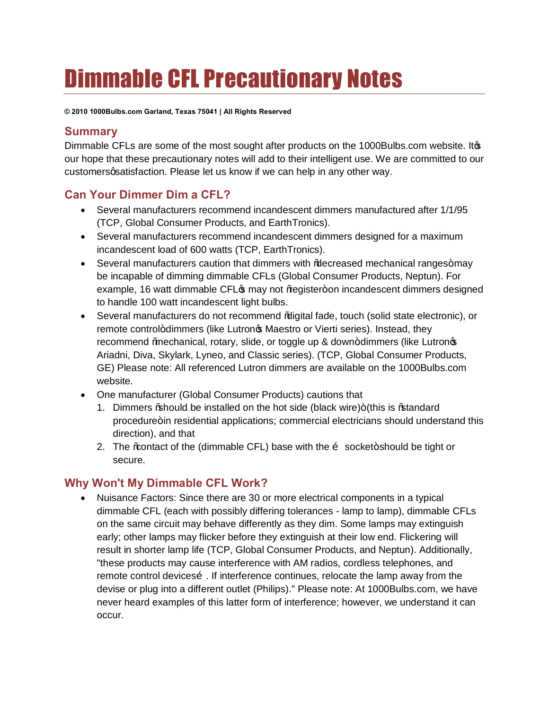# Dimmable CFL Precautionary Notes

**© 2010 1000Bulbs.com Garland, Texas 75041 | All Rights Reserved**

#### **Summary**

Dimmable CFLs are some of the most sought after products on the 1000Bulbs.com website. Its our hope that these precautionary notes will add to their intelligent use. We are committed to our customers qsatisfaction. Please let us know if we can help in any other way.

### **Can Your Dimmer Dim a CFL?**

- · Several manufacturers recommend incandescent dimmers manufactured after 1/1/95 (TCP, Global Consumer Products, and EarthTronics).
- · Several manufacturers recommend incandescent dimmers designed for a maximum incandescent load of 600 watts (TCP, EarthTronics).
- Several manufacturers caution that dimmers with % decreased mechanical ranges+may be incapable of dimming dimmable CFLs (Global Consumer Products, Neptun). For example, 16 watt dimmable CFL $\phi$  may not % eqister+ on incandescent dimmers designed to handle 100 watt incandescent light bulbs.
- · Several manufacturers do not recommend "digital fade, touch (solid state electronic), or remote control+dimmers (like Lutronos Maestro or Vierti series). Instead, they recommend % mechanical, rotary, slide, or toggle up & down+dimmers (like Lutron  $\phi$ Ariadni, Diva, Skylark, Lyneo, and Classic series). (TCP, Global Consumer Products, GE) Please note: All referenced Lutron dimmers are available on the 1000Bulbs.com website.
- · One manufacturer (Global Consumer Products) cautions that
	- 1. Dimmers % hould be installed on the hot side (black wire)+ (this is % tandard procedure+in residential applications; commercial electricians should understand this direction), and that
	- 2. The % contact of the (dimmable CFL) base with the  $\tilde{o}$  socket+should be tight or secure.

### **Why Won't My Dimmable CFL Work?**

· Nuisance Factors: Since there are 30 or more electrical components in a typical dimmable CFL (each with possibly differing tolerances - lamp to lamp), dimmable CFLs on the same circuit may behave differently as they dim. Some lamps may extinguish early; other lamps may flicker before they extinguish at their low end. Flickering will result in shorter lamp life (TCP, Global Consumer Products, and Neptun). Additionally, "these products may cause interference with AM radios, cordless telephones, and remote control deviceso. If interference continues, relocate the lamp away from the devise or plug into a different outlet (Philips)." Please note: At 1000Bulbs.com, we have never heard examples of this latter form of interference; however, we understand it can occur.